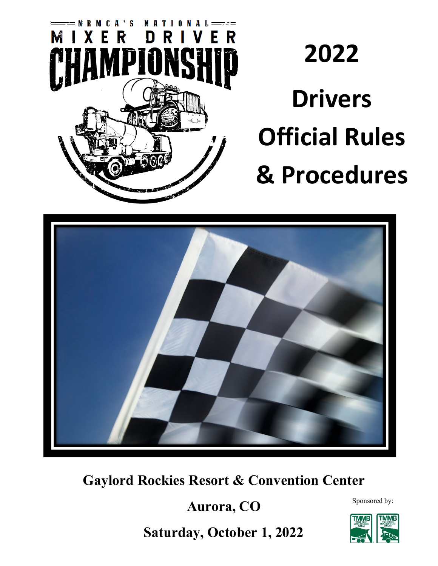

# **2022 Drivers Official Rules & Procedures**



**Gaylord Rockies Resort & Convention Center**

**Aurora, CO** 

Sponsored by:

**Saturday, October 1, 2022** 

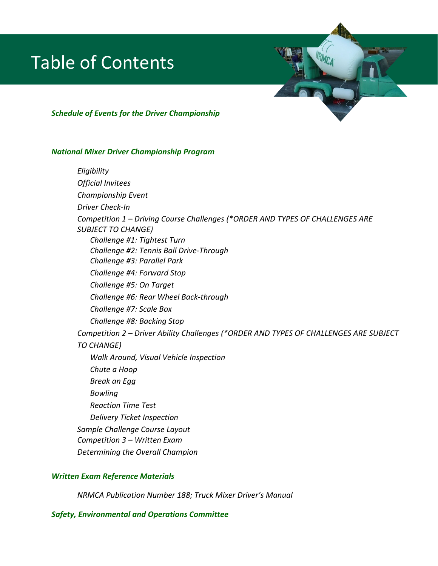## Table of Contents



#### *National Mixer Driver Championship Program*

*Eligibility Official Invitees Championship Event Driver Check-In Competition 1 – Driving Course Challenges (\*ORDER AND TYPES OF CHALLENGES ARE SUBJECT TO CHANGE) Challenge #1: Tightest Turn Challenge #2: Tennis Ball Drive-Through Challenge #3: Parallel Park Challenge #4: Forward Stop Challenge #5: On Target Challenge #6: Rear Wheel Back-through Challenge #7: Scale Box Challenge #8: Backing Stop Competition 2 – Driver Ability Challenges (\*ORDER AND TYPES OF CHALLENGES ARE SUBJECT TO CHANGE) Walk Around, Visual Vehicle Inspection Chute a Hoop Break an Egg Bowling Reaction Time Test Delivery Ticket Inspection Sample Challenge Course Layout Competition 3 – Written Exam Determining the Overall Champion*

#### *Written Exam Reference Materials*

*NRMCA Publication Number 188; Truck Mixer Driver's Manual*

### *Safety, Environmental and Operations Committee*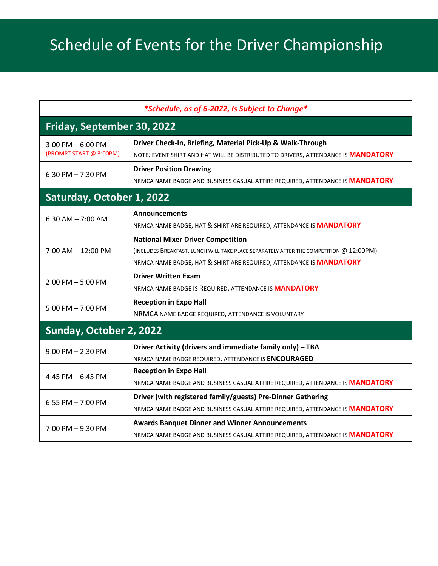| *Schedule, as of 6-2022, Is Subject to Change*  |                                                                                                                                                                                                           |  |
|-------------------------------------------------|-----------------------------------------------------------------------------------------------------------------------------------------------------------------------------------------------------------|--|
| Friday, September 30, 2022                      |                                                                                                                                                                                                           |  |
| $3:00$ PM $-6:00$ PM<br>(PROMPT START @ 3:00PM) | Driver Check-In, Briefing, Material Pick-Up & Walk-Through<br>NOTE: EVENT SHIRT AND HAT WILL BE DISTRIBUTED TO DRIVERS, ATTENDANCE IS MANDATORY                                                           |  |
| 6:30 PM $- 7:30$ PM                             | <b>Driver Position Drawing</b><br>NRMCA NAME BADGE AND BUSINESS CASUAL ATTIRE REQUIRED, ATTENDANCE IS MANDATORY                                                                                           |  |
| Saturday, October 1, 2022                       |                                                                                                                                                                                                           |  |
| $6:30$ AM $- 7:00$ AM                           | <b>Announcements</b><br>NRMCA NAME BADGE, HAT & SHIRT ARE REQUIRED, ATTENDANCE IS <b>MANDATORY</b>                                                                                                        |  |
| $7:00$ AM $-12:00$ PM                           | <b>National Mixer Driver Competition</b><br>(INCLUDES BREAKFAST. LUNCH WILL TAKE PLACE SEPARATELY AFTER THE COMPETITION @ 12:00PM)<br>NRMCA NAME BADGE, HAT & SHIRT ARE REQUIRED, ATTENDANCE IS MANDATORY |  |
| $2:00$ PM $-5:00$ PM                            | <b>Driver Written Exam</b><br>NRMCA NAME BADGE IS REQUIRED, ATTENDANCE IS <b>MANDATORY</b>                                                                                                                |  |
| 5:00 PM $- 7:00$ PM                             | <b>Reception in Expo Hall</b><br>NRMCA NAME BADGE REQUIRED, ATTENDANCE IS VOLUNTARY                                                                                                                       |  |
| Sunday, October 2, 2022                         |                                                                                                                                                                                                           |  |
| $9:00$ PM $- 2:30$ PM                           | Driver Activity (drivers and immediate family only) - TBA<br>NRMCA NAME BADGE REQUIRED, ATTENDANCE IS ENCOURAGED                                                                                          |  |
| 4:45 PM $-6:45$ PM                              | <b>Reception in Expo Hall</b><br>NRMCA NAME BADGE AND BUSINESS CASUAL ATTIRE REQUIRED, ATTENDANCE IS MANDATORY                                                                                            |  |
| 6:55 PM $- 7:00$ PM                             | Driver (with registered family/guests) Pre-Dinner Gathering<br>NRMCA NAME BADGE AND BUSINESS CASUAL ATTIRE REQUIRED, ATTENDANCE IS MANDATORY                                                              |  |
| 7:00 PM - 9:30 PM                               | <b>Awards Banquet Dinner and Winner Announcements</b><br>NRMCA NAME BADGE AND BUSINESS CASUAL ATTIRE REQUIRED, ATTENDANCE IS <b>MANDATORY</b>                                                             |  |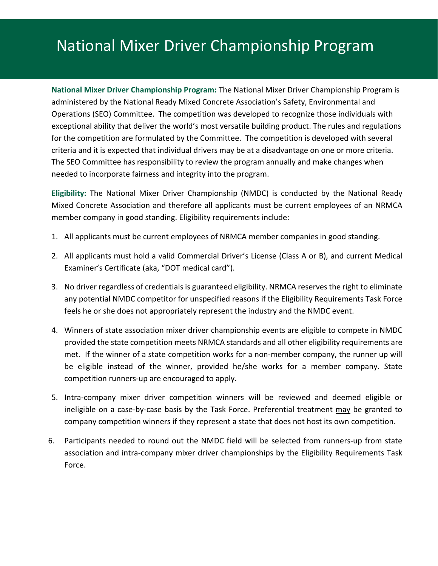**National Mixer Driver Championship Program:** The National Mixer Driver Championship Program is administered by the National Ready Mixed Concrete Association's Safety, Environmental and Operations (SEO) Committee. The competition was developed to recognize those individuals with exceptional ability that deliver the world's most versatile building product. The rules and regulations for the competition are formulated by the Committee. The competition is developed with several criteria and it is expected that individual drivers may be at a disadvantage on one or more criteria. The SEO Committee has responsibility to review the program annually and make changes when needed to incorporate fairness and integrity into the program.

**Eligibility:** The National Mixer Driver Championship (NMDC) is conducted by the National Ready Mixed Concrete Association and therefore all applicants must be current employees of an NRMCA member company in good standing. Eligibility requirements include:

- 1. All applicants must be current employees of NRMCA member companies in good standing.
- 2. All applicants must hold a valid Commercial Driver's License (Class A or B), and current Medical Examiner's Certificate (aka, "DOT medical card").
- 3. No driver regardless of credentials is guaranteed eligibility. NRMCA reserves the right to eliminate any potential NMDC competitor for unspecified reasons if the Eligibility Requirements Task Force feels he or she does not appropriately represent the industry and the NMDC event.
- 4. Winners of state association mixer driver championship events are eligible to compete in NMDC provided the state competition meets NRMCA standards and all other eligibility requirements are met. If the winner of a state competition works for a non-member company, the runner up will be eligible instead of the winner, provided he/she works for a member company. State competition runners-up are encouraged to apply.
- 5. Intra-company mixer driver competition winners will be reviewed and deemed eligible or ineligible on a case-by-case basis by the Task Force. Preferential treatment may be granted to company competition winners if they represent a state that does not host its own competition.
- 6. Participants needed to round out the NMDC field will be selected from runners-up from state association and intra-company mixer driver championships by the Eligibility Requirements Task Force.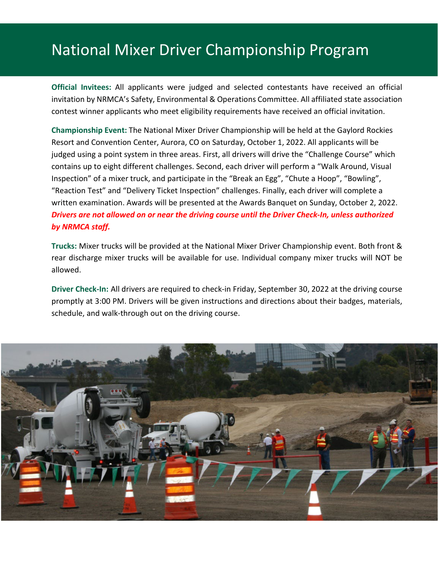**Official Invitees:** All applicants were judged and selected contestants have received an official invitation by NRMCA's Safety, Environmental & Operations Committee. All affiliated state association contest winner applicants who meet eligibility requirements have received an official invitation.

**Championship Event:** The National Mixer Driver Championship will be held at the Gaylord Rockies Resort and Convention Center, Aurora, CO on Saturday, October 1, 2022. All applicants will be judged using a point system in three areas. First, all drivers will drive the "Challenge Course" which contains up to eight different challenges. Second, each driver will perform a "Walk Around, Visual Inspection" of a mixer truck, and participate in the "Break an Egg", "Chute a Hoop", "Bowling", "Reaction Test" and "Delivery Ticket Inspection" challenges. Finally, each driver will complete a written examination. Awards will be presented at the Awards Banquet on Sunday, October 2, 2022. *Drivers are not allowed on or near the driving course until the Driver Check-In, unless authorized by NRMCA staff.*

**Trucks:** Mixer trucks will be provided at the National Mixer Driver Championship event. Both front & rear discharge mixer trucks will be available for use. Individual company mixer trucks will NOT be allowed.

**Driver Check-In:** All drivers are required to check-in Friday, September 30, 2022 at the driving course promptly at 3:00 PM. Drivers will be given instructions and directions about their badges, materials, schedule, and walk-through out on the driving course.

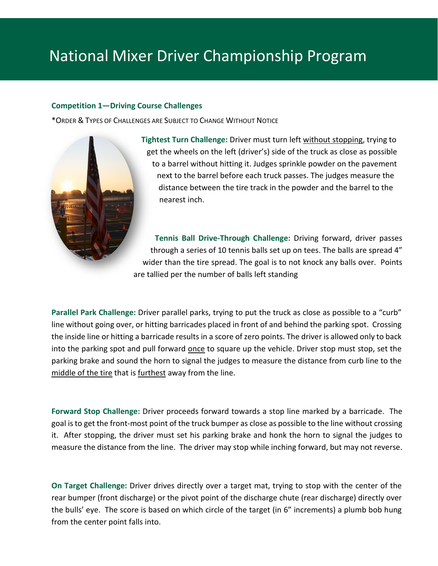### **Competition 1—Driving Course Challenges**

\*ORDER & TYPES OF CHALLENGES ARE SUBJECT TO CHANGE WITHOUT NOTICE



**Tightest Turn Challenge:** Driver must turn left without stopping, trying to get the wheels on the left (driver's) side of the truck as close as possible to a barrel without hitting it. Judges sprinkle powder on the pavement next to the barrel before each truck passes. The judges measure the distance between the tire track in the powder and the barrel to the nearest inch.

**Tennis Ball Drive-Through Challenge:** Driving forward, driver passes through a series of 10 tennis balls set up on tees. The balls are spread 4" wider than the tire spread. The goal is to not knock any balls over. Points are tallied per the number of balls left standing

**Parallel Park Challenge:** Driver parallel parks, trying to put the truck as close as possible to a "curb" line without going over, or hitting barricades placed in front of and behind the parking spot. Crossing the inside line or hitting a barricade results in a score of zero points. The driver is allowed only to back into the parking spot and pull forward once to square up the vehicle. Driver stop must stop, set the parking brake and sound the horn to signal the judges to measure the distance from curb line to the middle of the tire that is furthest away from the line.

**Forward Stop Challenge:** Driver proceeds forward towards a stop line marked by a barricade. The goal is to get the front-most point of the truck bumper as close as possible to the line without crossing it. After stopping, the driver must set his parking brake and honk the horn to signal the judges to measure the distance from the line. The driver may stop while inching forward, but may not reverse.

**On Target Challenge:** Driver drives directly over a target mat, trying to stop with the center of the rear bumper (front discharge) or the pivot point of the discharge chute (rear discharge) directly over the bulls' eye. The score is based on which circle of the target (in 6" increments) a plumb bob hung from the center point falls into.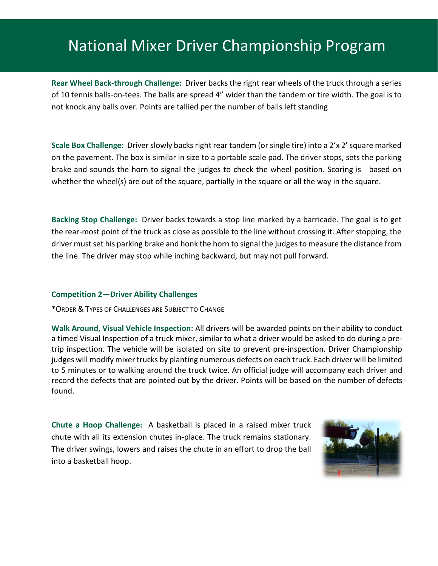**Rear Wheel Back-through Challenge:** Driver backs the right rear wheels of the truck through a series of 10 tennis balls-on-tees. The balls are spread 4" wider than the tandem or tire width. The goal is to not knock any balls over. Points are tallied per the number of balls left standing

**Scale Box Challenge:** Driver slowly backs right rear tandem (or single tire) into a 2'x 2' square marked on the pavement. The box is similar in size to a portable scale pad. The driver stops, sets the parking brake and sounds the horn to signal the judges to check the wheel position. Scoring is based on whether the wheel(s) are out of the square, partially in the square or all the way in the square.

**Backing Stop Challenge:** Driver backs towards a stop line marked by a barricade. The goal is to get the rear-most point of the truck as close as possible to the line without crossing it. After stopping, the driver must set his parking brake and honk the horn to signal the judges to measure the distance from the line. The driver may stop while inching backward, but may not pull forward.

#### **Competition 2—Driver Ability Challenges**

\*ORDER & TYPES OF CHALLENGES ARE SUBJECT TO CHANGE

**Walk Around, Visual Vehicle Inspection:** All drivers will be awarded points on their ability to conduct a timed Visual Inspection of a truck mixer, similar to what a driver would be asked to do during a pretrip inspection. The vehicle will be isolated on site to prevent pre-inspection. Driver Championship judges will modify mixer trucks by planting numerous defects on each truck. Each driver will be limited to 5 minutes or to walking around the truck twice. An official judge will accompany each driver and record the defects that are pointed out by the driver. Points will be based on the number of defects found.

**Chute a Hoop Challenge:** A basketball is placed in a raised mixer truck chute with all its extension chutes in-place. The truck remains stationary. The driver swings, lowers and raises the chute in an effort to drop the ball into a basketball hoop.

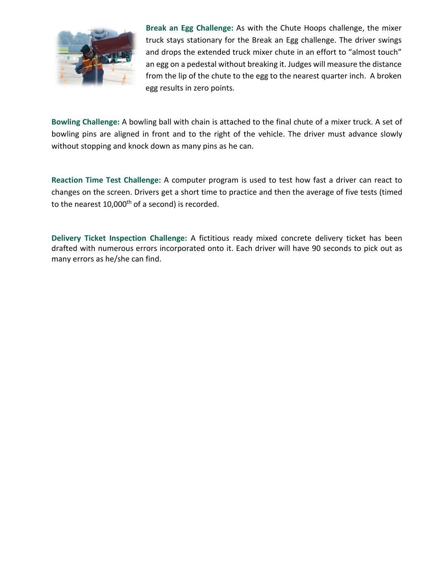

**Break an Egg Challenge:** As with the Chute Hoops challenge, the mixer truck stays stationary for the Break an Egg challenge. The driver swings and drops the extended truck mixer chute in an effort to "almost touch" an egg on a pedestal without breaking it. Judges will measure the distance from the lip of the chute to the egg to the nearest quarter inch. A broken egg results in zero points.

**Bowling Challenge:** A bowling ball with chain is attached to the final chute of a mixer truck. A set of bowling pins are aligned in front and to the right of the vehicle. The driver must advance slowly without stopping and knock down as many pins as he can.

**Reaction Time Test Challenge:** A computer program is used to test how fast a driver can react to changes on the screen. Drivers get a short time to practice and then the average of five tests (timed to the nearest 10,000<sup>th</sup> of a second) is recorded.

**Delivery Ticket Inspection Challenge:** A fictitious ready mixed concrete delivery ticket has been drafted with numerous errors incorporated onto it. Each driver will have 90 seconds to pick out as many errors as he/she can find.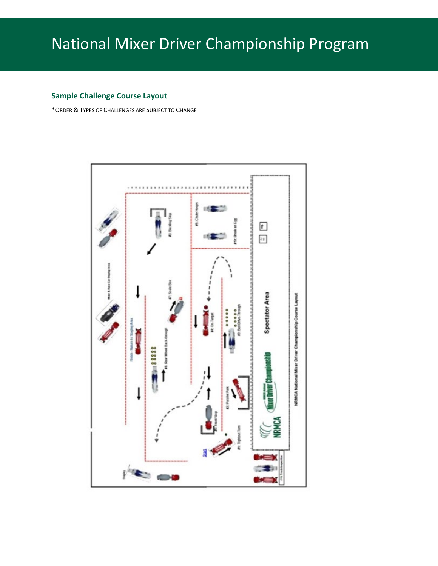### **Sample Challenge Course Layout**

\*ORDER & TYPES OF CHALLENGES ARE SUBJECT TO CHANGE

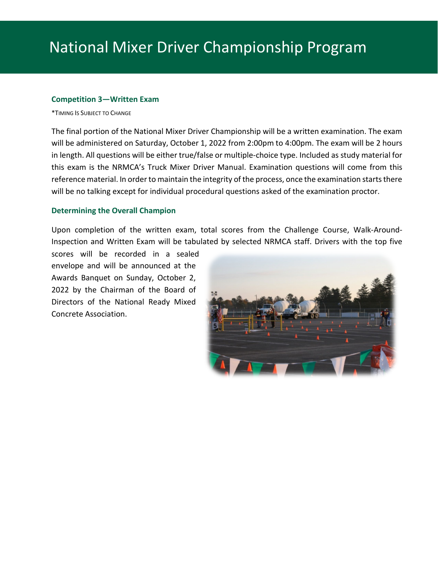#### **Competition 3—Written Exam**

\*TIMING IS SUBJECT TO CHANGE

The final portion of the National Mixer Driver Championship will be a written examination. The exam will be administered on Saturday, October 1, 2022 from 2:00pm to 4:00pm. The exam will be 2 hours in length. All questions will be either true/false or multiple-choice type. Included as study material for this exam is the NRMCA's Truck Mixer Driver Manual. Examination questions will come from this reference material. In order to maintain the integrity of the process, once the examination starts there will be no talking except for individual procedural questions asked of the examination proctor.

### **Determining the Overall Champion**

Upon completion of the written exam, total scores from the Challenge Course, Walk-Around-Inspection and Written Exam will be tabulated by selected NRMCA staff. Drivers with the top five

scores will be recorded in a sealed envelope and will be announced at the Awards Banquet on Sunday, October 2, 2022 by the Chairman of the Board of Directors of the National Ready Mixed Concrete Association.